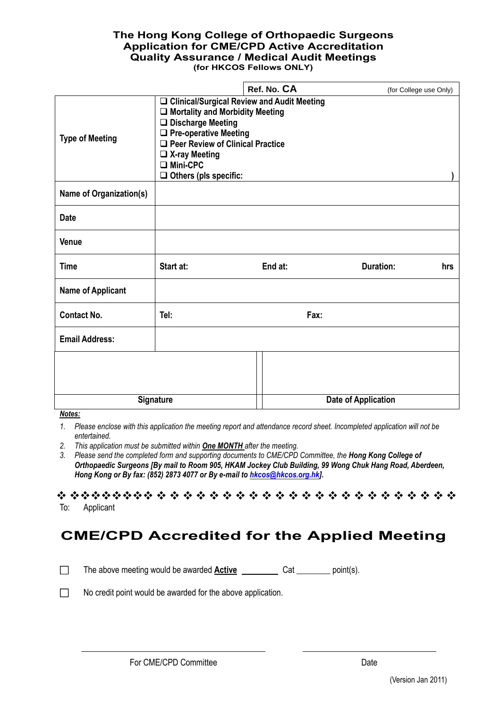### **The Hong Kong College of Orthopaedic Surgeons Application for CME/CPD Active Accreditation Quality Assurance / Medical Audit Meetings (for HKCOS Fellows ONLY)**

|                                |                                                                                                                                                                                                                                                                     | Ref. No. CA | (for College use Only)     |     |  |
|--------------------------------|---------------------------------------------------------------------------------------------------------------------------------------------------------------------------------------------------------------------------------------------------------------------|-------------|----------------------------|-----|--|
| <b>Type of Meeting</b>         | □ Clinical/Surgical Review and Audit Meeting<br>$\Box$ Mortality and Morbidity Meeting<br>$\Box$ Discharge Meeting<br>$\Box$ Pre-operative Meeting<br>$\Box$ Peer Review of Clinical Practice<br>$\Box$ X-ray Meeting<br>□ Mini-CPC<br>$\Box$ Others (pls specific: |             |                            |     |  |
| <b>Name of Organization(s)</b> |                                                                                                                                                                                                                                                                     |             |                            |     |  |
| <b>Date</b>                    |                                                                                                                                                                                                                                                                     |             |                            |     |  |
| Venue                          |                                                                                                                                                                                                                                                                     |             |                            |     |  |
| <b>Time</b>                    | Start at:                                                                                                                                                                                                                                                           | End at:     | <b>Duration:</b>           | hrs |  |
| <b>Name of Applicant</b>       |                                                                                                                                                                                                                                                                     |             |                            |     |  |
| <b>Contact No.</b>             | Tel:<br>Fax:                                                                                                                                                                                                                                                        |             |                            |     |  |
| <b>Email Address:</b>          |                                                                                                                                                                                                                                                                     |             |                            |     |  |
|                                |                                                                                                                                                                                                                                                                     |             |                            |     |  |
| <b>Signature</b>               |                                                                                                                                                                                                                                                                     |             | <b>Date of Application</b> |     |  |

#### *Notes:*

- *2. This application must be submitted within One MONTH after the meeting.*
- 3. Please send the completed form and supporting documents to CME/CPD Committee, the **Hong Kong College of** *Orthopaedic Surgeons [By mail to Room 905, HKAM Jockey Club Building, 99 Wong Chuk Hang Road, Aberdeen, Hong Kong or By fax: (852) 2873 4077 or By e-mail to [hkcos@hkcos.org.hk\]](mailto:hkcos@hkcos.org.hk).*

\*\*\*\*\*\*\*\*\*\*\*\*\*\*\*\*\*\*\*\*\*\*\*\*\*\*\*\*\*\*\*\* To: Applicant

# **CME/CPD Accredited for the Applied Meeting**

□ The above meeting would be awarded **Active** <u>cancelace Cate Cate point</u>(s).

□ No credit point would be awarded for the above application.

*<sup>1.</sup> Please enclose with this application the meeting report and attendance record sheet. Incompleted application will not be entertained.*